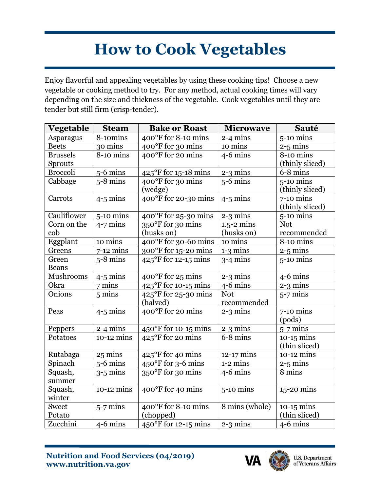## **How to Cook Vegetables**

Enjoy flavorful and appealing vegetables by using these cooking tips! Choose a new vegetable or cooking method to try. For any method, actual cooking times will vary depending on the size and thickness of the vegetable. Cook vegetables until they are tender but still firm (crisp-tender).

| <b>Vegetable</b> | <b>Steam</b>     | <b>Bake or Roast</b>                    | <b>Microwave</b>       | <b>Sauté</b>                   |
|------------------|------------------|-----------------------------------------|------------------------|--------------------------------|
| Asparagus        | 8-10mins         | 400°F for 8-10 mins                     | $2-4$ mins             | $5-10$ mins                    |
| <b>Beets</b>     | 30 mins          | 400°F for 30 mins                       | 10 mins                | $2-5$ mins                     |
| <b>Brussels</b>  | 8-10 mins        | 400°F for 20 mins                       | $4-6$ mins             | 8-10 mins                      |
| <b>Sprouts</b>   |                  |                                         |                        | (thinly sliced)                |
| <b>Broccoli</b>  | $5-6$ mins       | $425^{\circ}$ F for 15-18 mins          | $2-3$ mins             | $6-8$ mins                     |
| Cabbage          | $5-8$ mins       | 400°F for 30 mins<br>(wedge)            | $5-6$ mins             | $5-10$ mins<br>(thinly sliced) |
| Carrots          | $4-5$ mins       | 400°F for 20-30 mins                    | $4-5$ mins             | $7-10$ mins<br>(thinly sliced) |
| Cauliflower      | $5-10$ mins      | $400^{\circ}$ F for 25-30 mins          | $2-3$ mins             | $5-10$ mins                    |
| Corn on the      | $4-7$ mins       | 350°F for 30 mins                       | $1.5 - 2 \text{ mins}$ | <b>Not</b>                     |
| cob              |                  | (husks on)                              | (husks on)             | recommended                    |
| Eggplant         | 10 mins          | 400°F for 30-60 mins                    | 10 mins                | 8-10 mins                      |
| Greens           | $7-12$ mins      | 300°F for 15-20 mins                    | $1-3$ mins             | $2-5$ mins                     |
| Green            | $5-8$ mins       | $425^{\circ}$ F for 12-15 mins          | $3-4$ mins             | $5-10$ mins                    |
| <b>Beans</b>     |                  |                                         |                        |                                |
| Mushrooms        | $4 - 5$ mins     | 400°F for 25 mins                       | $2-3$ mins             | $4-6$ mins                     |
| Okra             | $7 \text{ mins}$ | 425°F for 10-15 mins                    | $4-6$ mins             | $2-3$ mins                     |
| Onions           | $5 \text{ mins}$ | $425^{\circ}$ F for 25-30 mins          | <b>Not</b>             | $5-7$ mins                     |
|                  |                  | (halved)                                | recommended            |                                |
| Peas             | $4-5$ mins       | 400°F for 20 mins                       | $2-3$ mins             | $7-10$ mins                    |
|                  |                  |                                         |                        | (pods)                         |
| Peppers          | $2-4$ mins       | $450^{\circ}$ F for 10-15 mins          | $2-3$ mins             | $5-7$ mins                     |
| Potatoes         | $10-12$ mins     | $425^{\circ}$ F for 20 mins             | 6-8 mins               | $10-15$ mins                   |
|                  |                  |                                         |                        | (thin sliced)                  |
| Rutabaga         | 25 mins          | $425^{\circ}$ F for 40 mins             | 12-17 mins             | $10-12$ mins                   |
| Spinach          | $5-6$ mins       | 450°F for 3-6 mins                      | $1-2$ mins             | $2-5$ mins                     |
| Squash,          | $3-5$ mins       | 350°F for 30 mins                       | $4-6$ mins             | 8 mins                         |
| summer           |                  |                                         |                        |                                |
| Squash,          | $10-12$ mins     | 400°F for 40 mins                       | $5-10$ mins            | $15-20$ mins                   |
| winter           |                  |                                         |                        |                                |
| <b>Sweet</b>     | $5-7$ mins       | $\overline{400^{\circ}F}$ for 8-10 mins | 8 mins (whole)         | $10-15$ mins                   |
| Potato           |                  | (chopped)                               |                        | (thin sliced)                  |
| Zucchini         | $4-6$ mins       | $450^{\circ}$ F for 12-15 mins          | $2-3$ mins             | $4-6$ mins                     |